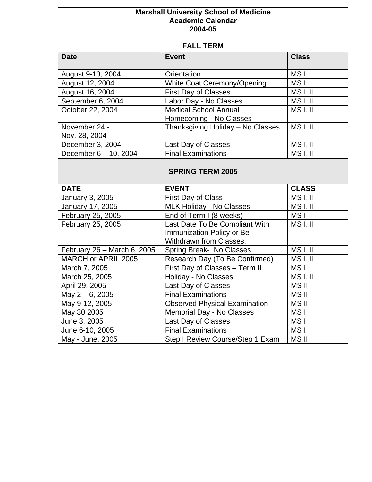## **Marshall University School of Medicine Academic Calendar 2004-05**

## **FALL TERM**

| <b>Date</b>                    | <b>Event</b>                                            | <b>Class</b> |
|--------------------------------|---------------------------------------------------------|--------------|
| August 9-13, 2004              | Orientation                                             | MS I         |
| August 12, 2004                | White Coat Ceremony/Opening                             | MS I         |
| August 16, 2004                | <b>First Day of Classes</b>                             | MS I, II     |
| September 6, 2004              | Labor Day - No Classes                                  | MS I, II     |
| October 22, 2004               | <b>Medical School Annual</b><br>Homecoming - No Classes | MS I, II     |
| November 24 -<br>Nov. 28, 2004 | Thanksgiving Holiday - No Classes                       | MS I, II     |
| December 3, 2004               | Last Day of Classes                                     | MS I, II     |
| December $6 - 10$ , 2004       | <b>Final Examinations</b>                               | MS I, II     |

## **SPRING TERM 2005**

| <b>DATE</b>                   | <b>EVENT</b>                                                                           | <b>CLASS</b>    |
|-------------------------------|----------------------------------------------------------------------------------------|-----------------|
| January 3, 2005               | First Day of Class                                                                     | MS I, II        |
| January 17, 2005              | <b>MLK Holiday - No Classes</b>                                                        | MS I, II        |
| February 25, 2005             | End of Term I (8 weeks)                                                                | MS I            |
| February 25, 2005             | Last Date To Be Compliant With<br>Immunization Policy or Be<br>Withdrawn from Classes. | MS I. II        |
| February $26$ – March 6, 2005 | Spring Break- No Classes                                                               | MS I, II        |
| MARCH or APRIL 2005           | Research Day (To Be Confirmed)                                                         | MS I, II        |
| March 7, 2005                 | First Day of Classes - Term II                                                         | MS I            |
| March 25, 2005                | Holiday - No Classes                                                                   | MS I, II        |
| April 29, 2005                | Last Day of Classes                                                                    | <b>MSII</b>     |
| May $2 - 6$ , 2005            | <b>Final Examinations</b>                                                              | <b>MSII</b>     |
| May 9-12, 2005                | <b>Observed Physical Examination</b>                                                   | <b>MSII</b>     |
| May 30 2005                   | Memorial Day - No Classes                                                              | MS I            |
| June 3, 2005                  | Last Day of Classes                                                                    | MS <sub>I</sub> |
| June 6-10, 2005               | <b>Final Examinations</b>                                                              | MS I            |
| May - June, 2005              | Step I Review Course/Step 1 Exam                                                       | <b>MSII</b>     |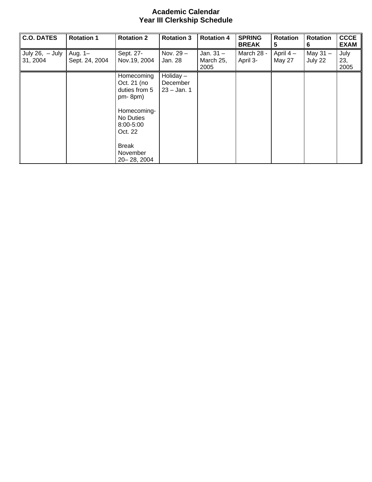## **Academic Calendar Year III Clerkship Schedule**

| <b>C.O. DATES</b>             | <b>Rotation 1</b>           | <b>Rotation 2</b>                                                                                           | <b>Rotation 3</b>                                    | <b>Rotation 4</b>                | <b>SPRING</b><br><b>BREAK</b> | <b>Rotation</b><br>5        | <b>Rotation</b><br>6  | <b>CCCE</b><br><b>EXAM</b> |
|-------------------------------|-----------------------------|-------------------------------------------------------------------------------------------------------------|------------------------------------------------------|----------------------------------|-------------------------------|-----------------------------|-----------------------|----------------------------|
| July 26, $-$ July<br>31, 2004 | Aug. $1-$<br>Sept. 24, 2004 | Sept. 27-<br>Nov.19, 2004                                                                                   | Nov. $29 -$<br>Jan. 28                               | Jan. $31 -$<br>March 25,<br>2005 | March 28 -<br>April 3-        | April $4-$<br><b>May 27</b> | May $31 -$<br>July 22 | July<br>23,<br>2005        |
|                               |                             | Homecoming<br>Oct. 21 (no<br>duties from 5<br>$pm-8pm)$<br>Homecoming-<br>No Duties<br>8:00-5:00<br>Oct. 22 | $\overline{H}$ oliday –<br>December<br>$23 - Jan. 1$ |                                  |                               |                             |                       |                            |
|                               |                             | <b>Break</b><br>November<br>20-28, 2004                                                                     |                                                      |                                  |                               |                             |                       |                            |